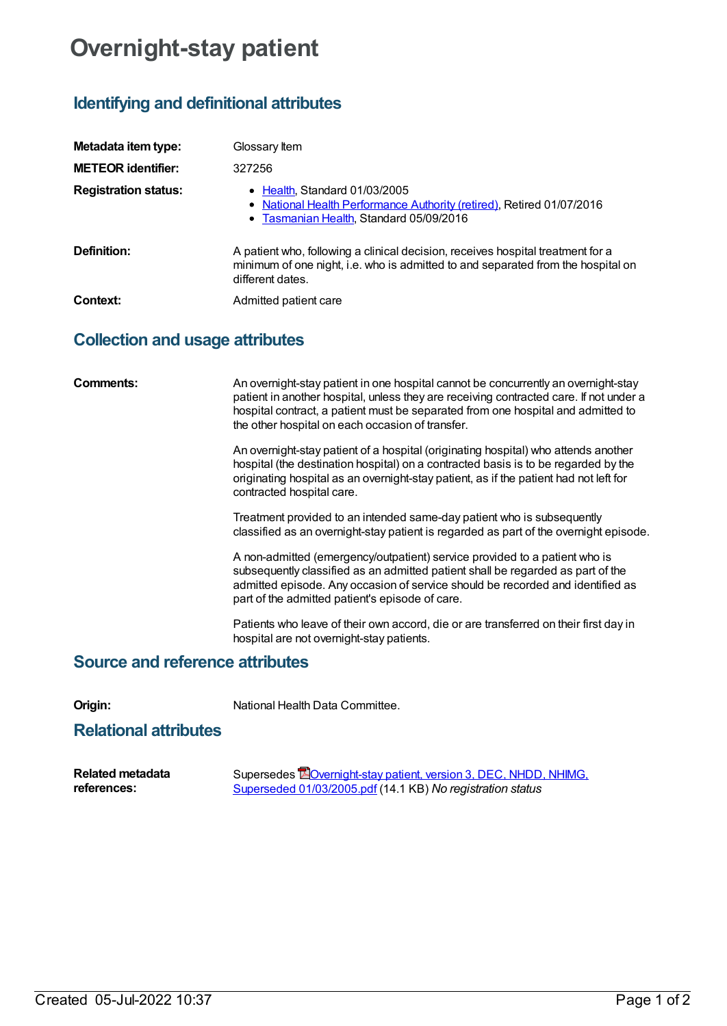## **Overnight-stay patient**

## **Identifying and definitional attributes**

| Metadata item type:         | Glossary Item                                                                                                                                                                           |
|-----------------------------|-----------------------------------------------------------------------------------------------------------------------------------------------------------------------------------------|
| <b>METEOR identifier:</b>   | 327256                                                                                                                                                                                  |
| <b>Registration status:</b> | • Health, Standard 01/03/2005<br>• National Health Performance Authority (retired), Retired 01/07/2016<br>• Tasmanian Health, Standard 05/09/2016                                       |
| Definition:                 | A patient who, following a clinical decision, receives hospital treatment for a<br>minimum of one night, i.e. who is admitted to and separated from the hospital on<br>different dates. |
| Context:                    | Admitted patient care                                                                                                                                                                   |

## **Collection and usage attributes**

| Comments:                              | An overnight-stay patient in one hospital cannot be concurrently an overnight-stay<br>patient in another hospital, unless they are receiving contracted care. If not under a<br>hospital contract, a patient must be separated from one hospital and admitted to<br>the other hospital on each occasion of transfer. |
|----------------------------------------|----------------------------------------------------------------------------------------------------------------------------------------------------------------------------------------------------------------------------------------------------------------------------------------------------------------------|
|                                        | An overnight-stay patient of a hospital (originating hospital) who attends another<br>hospital (the destination hospital) on a contracted basis is to be regarded by the<br>originating hospital as an overnight-stay patient, as if the patient had not left for<br>contracted hospital care.                       |
|                                        | Treatment provided to an intended same-day patient who is subsequently<br>classified as an overnight-stay patient is regarded as part of the overnight episode.                                                                                                                                                      |
|                                        | A non-admitted (emergency/outpatient) service provided to a patient who is<br>subsequently classified as an admitted patient shall be regarded as part of the<br>admitted episode. Any occasion of service should be recorded and identified as<br>part of the admitted patient's episode of care.                   |
|                                        | Patients who leave of their own accord, die or are transferred on their first day in<br>hospital are not overnight-stay patients.                                                                                                                                                                                    |
| <b>Source and reference attributes</b> |                                                                                                                                                                                                                                                                                                                      |

**Origin:** National Health Data Committee.

## **Relational attributes**

| <b>Related metadata</b> | Supersedes <b>E</b> Overnight-stay patient, version 3, DEC, NHDD, NHIMG, |
|-------------------------|--------------------------------------------------------------------------|
| references:             | Superseded 01/03/2005.pdf (14.1 KB) No registration status               |